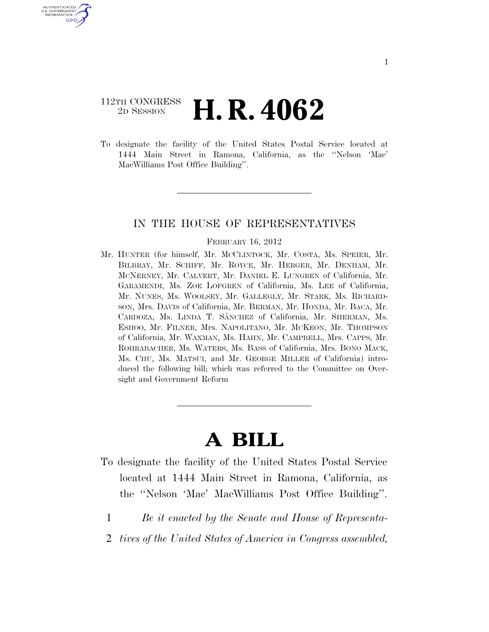### 112TH CONGRESS 2D SESSION **H. R. 4062**

U.S. GOVERNMENT GPO

> To designate the facility of the United States Postal Service located at 1444 Main Street in Ramona, California, as the ''Nelson 'Mac' MacWilliams Post Office Building''.

#### IN THE HOUSE OF REPRESENTATIVES

#### FEBRUARY 16, 2012

Mr. HUNTER (for himself, Mr. MCCLINTOCK, Mr. COSTA, Ms. SPEIER, Mr. BILBRAY, Mr. SCHIFF, Mr. ROYCE, Mr. HERGER, Mr. DENHAM, Mr. MCNERNEY, Mr. CALVERT, Mr. DANIEL E. LUNGREN of California, Mr. GARAMENDI, Ms. ZOE LOFGREN of California, Ms. LEE of California, Mr. NUNES, Ms. WOOLSEY, Mr. GALLEGLY, Mr. STARK, Ms. RICHARD-SON, Mrs. DAVIS of California, Mr. BERMAN, Mr. HONDA, Mr. BACA, Mr. CARDOZA, Ms. LINDA T. SÁNCHEZ of California, Mr. SHERMAN, Ms. ESHOO, Mr. FILNER, Mrs. NAPOLITANO, Mr. MCKEON, Mr. THOMPSON of California, Mr. WAXMAN, Ms. HAHN, Mr. CAMPBELL, Mrs. CAPPS, Mr. ROHRABACHER, Ms. WATERS, Ms. BASS of California, Mrs. BONO MACK, Ms. CHU, Ms. MATSUI, and Mr. GEORGE MILLER of California) introduced the following bill; which was referred to the Committee on Oversight and Government Reform

# **A BILL**

- To designate the facility of the United States Postal Service located at 1444 Main Street in Ramona, California, as the ''Nelson 'Mac' MacWilliams Post Office Building''.
	- 1 *Be it enacted by the Senate and House of Representa-*
	- 2 *tives of the United States of America in Congress assembled,*